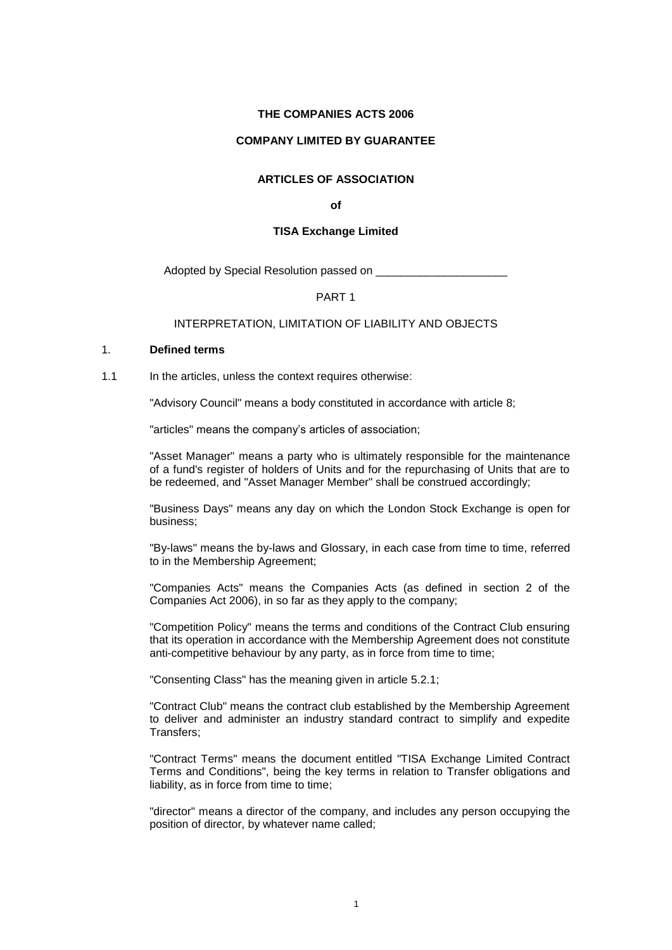### **THE COMPANIES ACTS 2006**

#### **COMPANY LIMITED BY GUARANTEE**

# **ARTICLES OF ASSOCIATION**

**of**

#### **TISA Exchange Limited**

Adopted by Special Resolution passed on

### PART 1

#### INTERPRETATION, LIMITATION OF LIABILITY AND OBJECTS

#### <span id="page-0-0"></span>1. **Defined terms**

1.1 In the articles, unless the context requires otherwise:

"Advisory Council" means a body constituted in accordance with article [8;](#page-6-0)

"articles" means the company's articles of association;

"Asset Manager" means a party who is ultimately responsible for the maintenance of a fund's register of holders of Units and for the repurchasing of Units that are to be redeemed, and "Asset Manager Member" shall be construed accordingly;

"Business Days" means any day on which the London Stock Exchange is open for business;

"By-laws" means the by-laws and Glossary, in each case from time to time, referred to in the Membership Agreement;

"Companies Acts" means the Companies Acts (as defined in section 2 of the Companies Act 2006), in so far as they apply to the company;

"Competition Policy" means the terms and conditions of the Contract Club ensuring that its operation in accordance with the Membership Agreement does not constitute anti-competitive behaviour by any party, as in force from time to time;

"Consenting Class" has the meaning given in article [5.2.1;](#page-5-0)

"Contract Club" means the contract club established by the Membership Agreement to deliver and administer an industry standard contract to simplify and expedite Transfers;

"Contract Terms" means the document entitled "TISA Exchange Limited Contract Terms and Conditions", being the key terms in relation to Transfer obligations and liability, as in force from time to time;

"director" means a director of the company, and includes any person occupying the position of director, by whatever name called;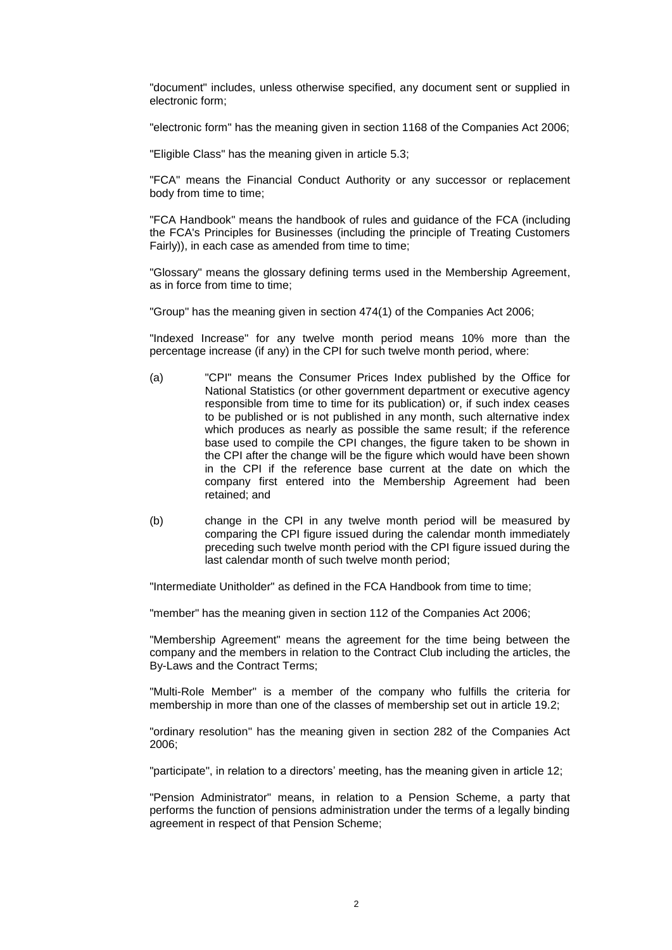"document" includes, unless otherwise specified, any document sent or supplied in electronic form;

"electronic form" has the meaning given in section 1168 of the Companies Act 2006;

"Eligible Class" has the meaning given in article [5.3;](#page-5-1)

"FCA" means the Financial Conduct Authority or any successor or replacement body from time to time;

"FCA Handbook" means the handbook of rules and guidance of the FCA (including the FCA's Principles for Businesses (including the principle of Treating Customers Fairly)), in each case as amended from time to time;

"Glossary" means the glossary defining terms used in the Membership Agreement, as in force from time to time;

"Group" has the meaning given in section 474(1) of the Companies Act 2006;

"Indexed Increase" for any twelve month period means 10% more than the percentage increase (if any) in the CPI for such twelve month period, where:

- (a) "CPI" means the Consumer Prices Index published by the Office for National Statistics (or other government department or executive agency responsible from time to time for its publication) or, if such index ceases to be published or is not published in any month, such alternative index which produces as nearly as possible the same result; if the reference base used to compile the CPI changes, the figure taken to be shown in the CPI after the change will be the figure which would have been shown in the CPI if the reference base current at the date on which the company first entered into the Membership Agreement had been retained; and
- (b) change in the CPI in any twelve month period will be measured by comparing the CPI figure issued during the calendar month immediately preceding such twelve month period with the CPI figure issued during the last calendar month of such twelve month period;

"Intermediate Unitholder" as defined in the FCA Handbook from time to time;

"member" has the meaning given in section 112 of the Companies Act 2006;

"Membership Agreement" means the agreement for the time being between the company and the members in relation to the Contract Club including the articles, the By-Laws and the Contract Terms;

"Multi-Role Member" is a member of the company who fulfills the criteria for membership in more than one of the classes of membership set out in article 19.2;

"ordinary resolution" has the meaning given in section 282 of the Companies Act 2006;

"participate", in relation to a directors' meeting, has the meaning given in article [12;](#page-7-0)

"Pension Administrator" means, in relation to a Pension Scheme, a party that performs the function of pensions administration under the terms of a legally binding agreement in respect of that Pension Scheme;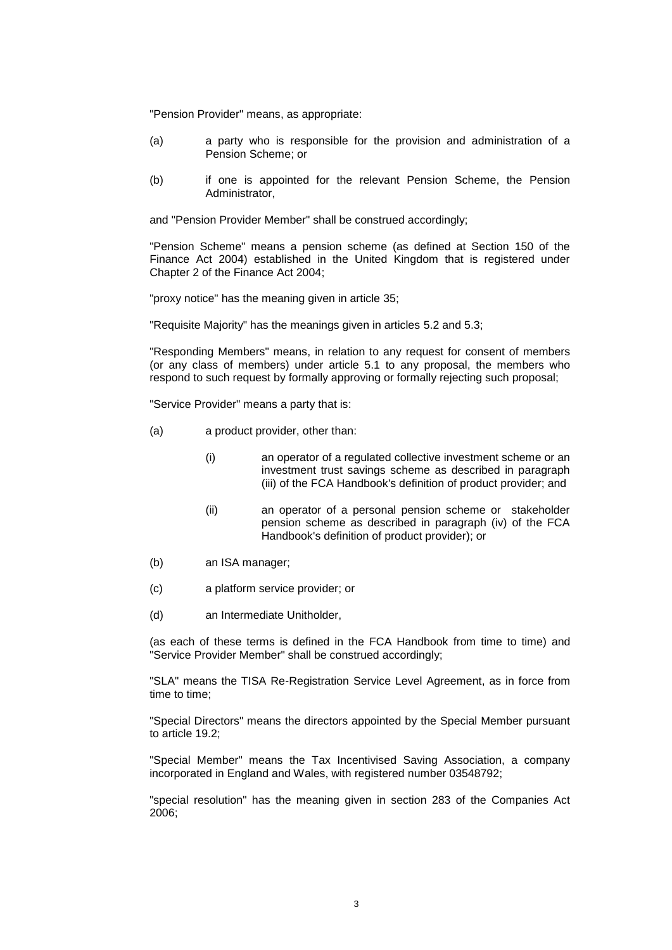"Pension Provider" means, as appropriate:

- (a) a party who is responsible for the provision and administration of a Pension Scheme; or
- (b) if one is appointed for the relevant Pension Scheme, the Pension Administrator,

and "Pension Provider Member" shall be construed accordingly;

"Pension Scheme" means a pension scheme (as defined at Section 150 of the Finance Act 2004) established in the United Kingdom that is registered under Chapter 2 of the Finance Act 2004;

"proxy notice" has the meaning given in article [35;](#page-17-0)

"Requisite Majority" has the meanings given in articles [5.2](#page-5-2) and [5.3;](#page-5-1)

"Responding Members" means, in relation to any request for consent of members (or any class of members) under article [5.1](#page-4-0) to any proposal, the members who respond to such request by formally approving or formally rejecting such proposal;

"Service Provider" means a party that is:

- (a) a product provider, other than:
	- (i) an operator of a regulated collective investment scheme or an investment trust savings scheme as described in paragraph (iii) of the FCA Handbook's definition of product provider; and
	- (ii) an operator of a personal pension scheme or stakeholder pension scheme as described in paragraph (iv) of the FCA Handbook's definition of product provider); or
- (b) an ISA manager;
- (c) a platform service provider; or
- (d) an Intermediate Unitholder,

(as each of these terms is defined in the FCA Handbook from time to time) and "Service Provider Member" shall be construed accordingly;

"SLA" means the TISA Re-Registration Service Level Agreement, as in force from time to time;

"Special Directors" means the directors appointed by the Special Member pursuant to article [19.2;](#page-10-0)

"Special Member" means the Tax Incentivised Saving Association, a company incorporated in England and Wales, with registered number 03548792;

"special resolution" has the meaning given in section 283 of the Companies Act 2006;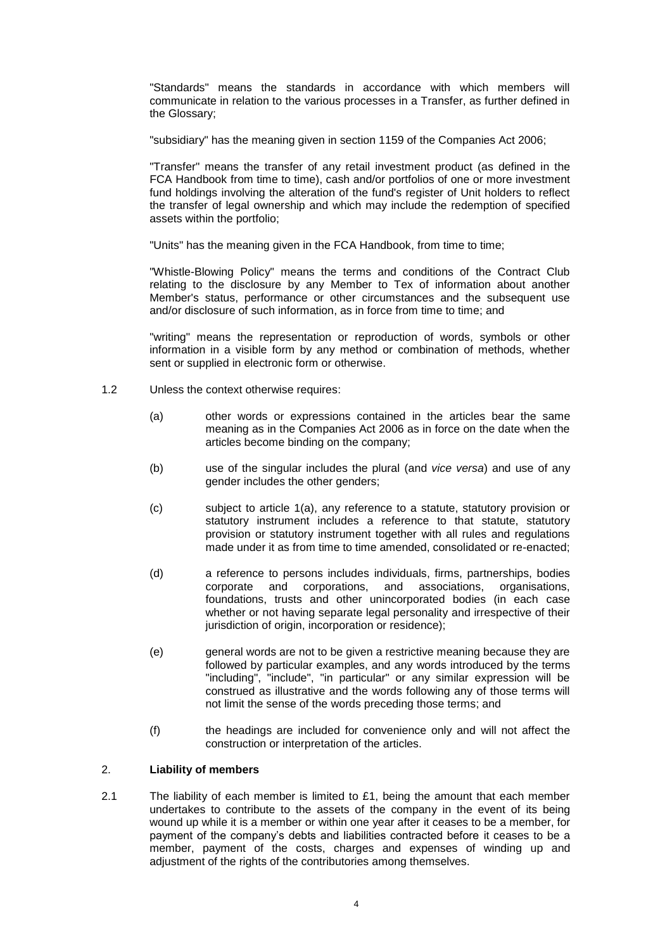"Standards" means the standards in accordance with which members will communicate in relation to the various processes in a Transfer, as further defined in the Glossary;

"subsidiary" has the meaning given in section 1159 of the Companies Act 2006;

"Transfer" means the transfer of any retail investment product (as defined in the FCA Handbook from time to time), cash and/or portfolios of one or more investment fund holdings involving the alteration of the fund's register of Unit holders to reflect the transfer of legal ownership and which may include the redemption of specified assets within the portfolio;

"Units" has the meaning given in the FCA Handbook, from time to time;

"Whistle-Blowing Policy" means the terms and conditions of the Contract Club relating to the disclosure by any Member to Tex of information about another Member's status, performance or other circumstances and the subsequent use and/or disclosure of such information, as in force from time to time; and

"writing" means the representation or reproduction of words, symbols or other information in a visible form by any method or combination of methods, whether sent or supplied in electronic form or otherwise.

- 1.2 Unless the context otherwise requires:
	- (a) other words or expressions contained in the articles bear the same meaning as in the Companies Act 2006 as in force on the date when the articles become binding on the company;
	- (b) use of the singular includes the plural (and *vice versa*) and use of any gender includes the other genders;
	- (c) subject to article [1\(](#page-0-0)a), any reference to a statute, statutory provision or statutory instrument includes a reference to that statute, statutory provision or statutory instrument together with all rules and regulations made under it as from time to time amended, consolidated or re-enacted;
	- (d) a reference to persons includes individuals, firms, partnerships, bodies corporate and corporations, and associations, organisations, foundations, trusts and other unincorporated bodies (in each case whether or not having separate legal personality and irrespective of their jurisdiction of origin, incorporation or residence);
	- (e) general words are not to be given a restrictive meaning because they are followed by particular examples, and any words introduced by the terms "including", "include", "in particular" or any similar expression will be construed as illustrative and the words following any of those terms will not limit the sense of the words preceding those terms; and
	- (f) the headings are included for convenience only and will not affect the construction or interpretation of the articles.

## 2. **Liability of members**

2.1 The liability of each member is limited to  $£1$ , being the amount that each member undertakes to contribute to the assets of the company in the event of its being wound up while it is a member or within one year after it ceases to be a member, for payment of the company's debts and liabilities contracted before it ceases to be a member, payment of the costs, charges and expenses of winding up and adjustment of the rights of the contributories among themselves.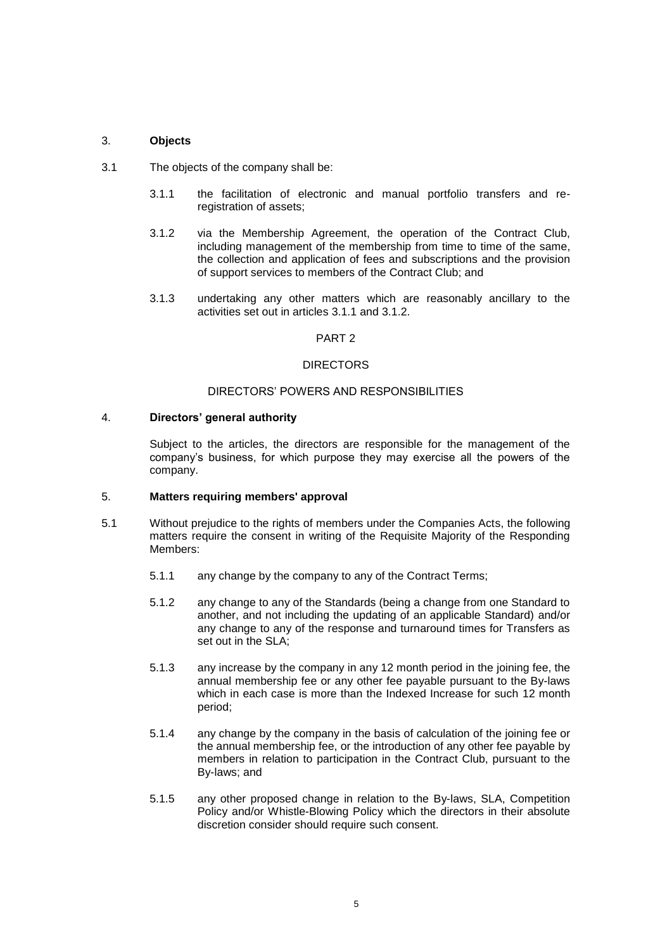## 3. **Objects**

- <span id="page-4-2"></span><span id="page-4-1"></span>3.1 The objects of the company shall be:
	- 3.1.1 the facilitation of electronic and manual portfolio transfers and reregistration of assets;
	- 3.1.2 via the Membership Agreement, the operation of the Contract Club, including management of the membership from time to time of the same, the collection and application of fees and subscriptions and the provision of support services to members of the Contract Club; and
	- 3.1.3 undertaking any other matters which are reasonably ancillary to the activities set out in articles [3.1.1](#page-4-1) and [3.1.2.](#page-4-2)

### PART 2

### DIRECTORS

### DIRECTORS' POWERS AND RESPONSIBILITIES

### 4. **Directors' general authority**

Subject to the articles, the directors are responsible for the management of the company's business, for which purpose they may exercise all the powers of the company.

### <span id="page-4-3"></span>5. **Matters requiring members' approval**

- <span id="page-4-0"></span>5.1 Without prejudice to the rights of members under the Companies Acts, the following matters require the consent in writing of the Requisite Majority of the Responding Members:
	- 5.1.1 any change by the company to any of the Contract Terms;
	- 5.1.2 any change to any of the Standards (being a change from one Standard to another, and not including the updating of an applicable Standard) and/or any change to any of the response and turnaround times for Transfers as set out in the SLA;
	- 5.1.3 any increase by the company in any 12 month period in the joining fee, the annual membership fee or any other fee payable pursuant to the By-laws which in each case is more than the Indexed Increase for such 12 month period;
	- 5.1.4 any change by the company in the basis of calculation of the joining fee or the annual membership fee, or the introduction of any other fee payable by members in relation to participation in the Contract Club, pursuant to the By-laws; and
	- 5.1.5 any other proposed change in relation to the By-laws, SLA, Competition Policy and/or Whistle-Blowing Policy which the directors in their absolute discretion consider should require such consent.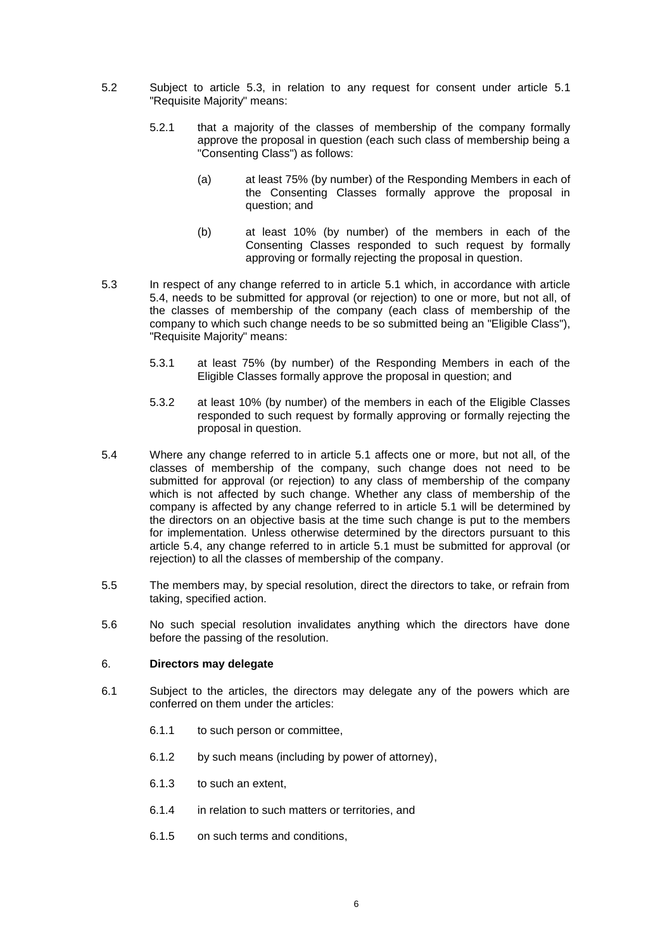- <span id="page-5-2"></span><span id="page-5-0"></span>5.2 Subject to article [5.3,](#page-5-1) in relation to any request for consent under article [5.1](#page-4-0) "Requisite Majority" means:
	- 5.2.1 that a majority of the classes of membership of the company formally approve the proposal in question (each such class of membership being a "Consenting Class") as follows:
		- (a) at least 75% (by number) of the Responding Members in each of the Consenting Classes formally approve the proposal in question; and
		- (b) at least 10% (by number) of the members in each of the Consenting Classes responded to such request by formally approving or formally rejecting the proposal in question.
- <span id="page-5-1"></span>5.3 In respect of any change referred to in article [5.1](#page-4-0) which, in accordance with article [5.4,](#page-5-3) needs to be submitted for approval (or rejection) to one or more, but not all, of the classes of membership of the company (each class of membership of the company to which such change needs to be so submitted being an "Eligible Class"), "Requisite Majority" means:
	- 5.3.1 at least 75% (by number) of the Responding Members in each of the Eligible Classes formally approve the proposal in question; and
	- 5.3.2 at least 10% (by number) of the members in each of the Eligible Classes responded to such request by formally approving or formally rejecting the proposal in question.
- <span id="page-5-3"></span>5.4 Where any change referred to in article [5.1](#page-4-0) affects one or more, but not all, of the classes of membership of the company, such change does not need to be submitted for approval (or rejection) to any class of membership of the company which is not affected by such change. Whether any class of membership of the company is affected by any change referred to in article [5.1](#page-4-0) will be determined by the directors on an objective basis at the time such change is put to the members for implementation. Unless otherwise determined by the directors pursuant to this article [5.4,](#page-5-3) any change referred to in article [5.1](#page-4-0) must be submitted for approval (or rejection) to all the classes of membership of the company.
- 5.5 The members may, by special resolution, direct the directors to take, or refrain from taking, specified action.
- 5.6 No such special resolution invalidates anything which the directors have done before the passing of the resolution.

## 6. **Directors may delegate**

- 6.1 Subject to the articles, the directors may delegate any of the powers which are conferred on them under the articles:
	- 6.1.1 to such person or committee,
	- 6.1.2 by such means (including by power of attorney),
	- 6.1.3 to such an extent,
	- 6.1.4 in relation to such matters or territories, and
	- 6.1.5 on such terms and conditions,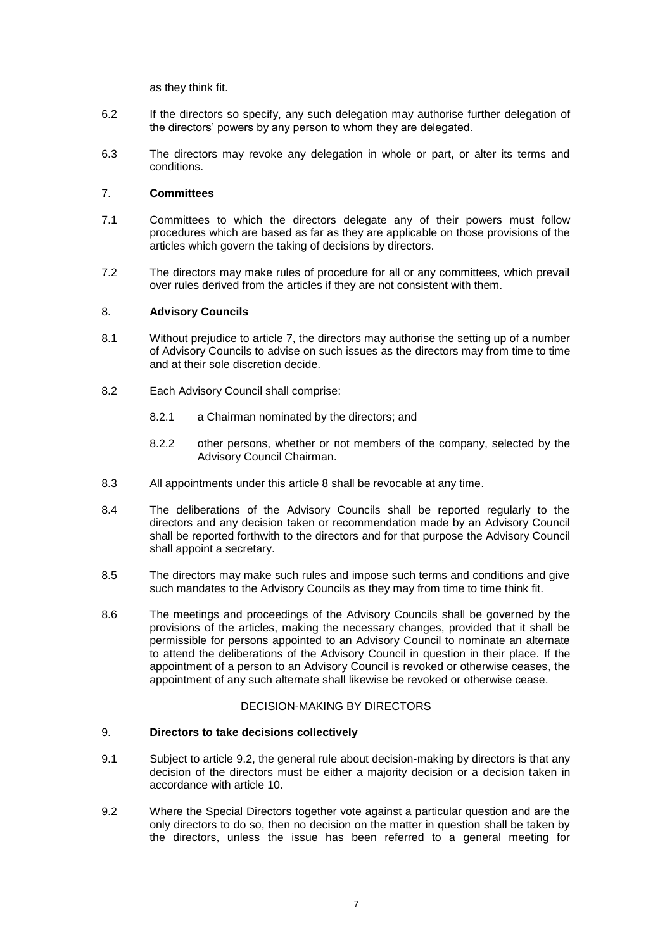as they think fit.

- 6.2 If the directors so specify, any such delegation may authorise further delegation of the directors' powers by any person to whom they are delegated.
- 6.3 The directors may revoke any delegation in whole or part, or alter its terms and conditions.

## <span id="page-6-1"></span>7. **Committees**

- 7.1 Committees to which the directors delegate any of their powers must follow procedures which are based as far as they are applicable on those provisions of the articles which govern the taking of decisions by directors.
- 7.2 The directors may make rules of procedure for all or any committees, which prevail over rules derived from the articles if they are not consistent with them.

## <span id="page-6-0"></span>8. **Advisory Councils**

- 8.1 Without prejudice to article [7,](#page-6-1) the directors may authorise the setting up of a number of Advisory Councils to advise on such issues as the directors may from time to time and at their sole discretion decide.
- 8.2 Each Advisory Council shall comprise:
	- 8.2.1 a Chairman nominated by the directors; and
	- 8.2.2 other persons, whether or not members of the company, selected by the Advisory Council Chairman.
- 8.3 All appointments under this article [8](#page-6-0) shall be revocable at any time.
- 8.4 The deliberations of the Advisory Councils shall be reported regularly to the directors and any decision taken or recommendation made by an Advisory Council shall be reported forthwith to the directors and for that purpose the Advisory Council shall appoint a secretary.
- 8.5 The directors may make such rules and impose such terms and conditions and give such mandates to the Advisory Councils as they may from time to time think fit.
- 8.6 The meetings and proceedings of the Advisory Councils shall be governed by the provisions of the articles, making the necessary changes, provided that it shall be permissible for persons appointed to an Advisory Council to nominate an alternate to attend the deliberations of the Advisory Council in question in their place. If the appointment of a person to an Advisory Council is revoked or otherwise ceases, the appointment of any such alternate shall likewise be revoked or otherwise cease.

## DECISION-MAKING BY DIRECTORS

### 9. **Directors to take decisions collectively**

- <span id="page-6-3"></span>9.1 Subject to article [9.2,](#page-6-2) the general rule about decision-making by directors is that any decision of the directors must be either a majority decision or a decision taken in accordance with article [10.](#page-7-1)
- <span id="page-6-2"></span>9.2 Where the Special Directors together vote against a particular question and are the only directors to do so, then no decision on the matter in question shall be taken by the directors, unless the issue has been referred to a general meeting for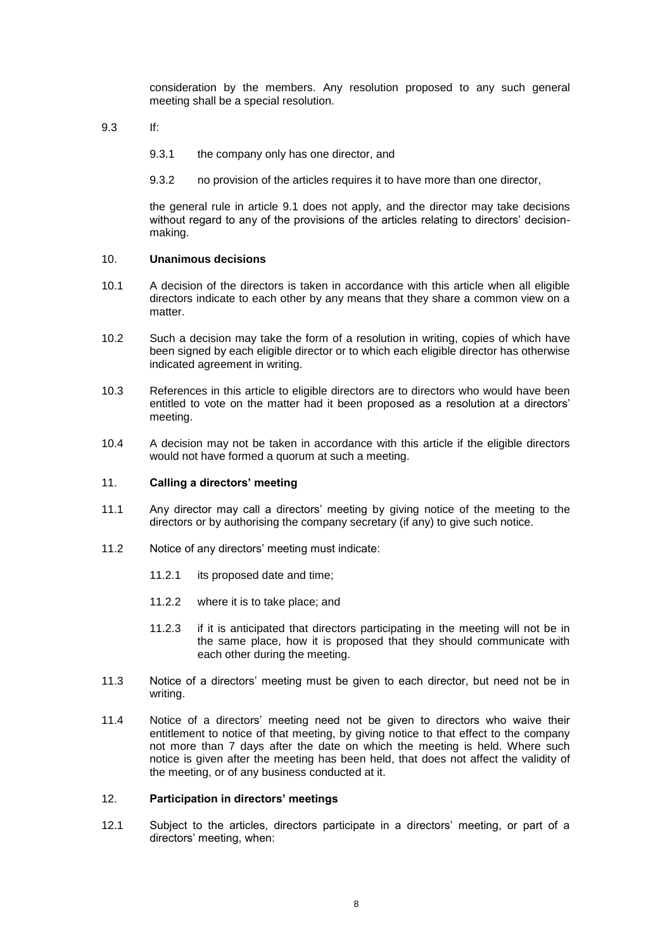consideration by the members. Any resolution proposed to any such general meeting shall be a special resolution.

- 9.3 If:
	- 9.3.1 the company only has one director, and
	- 9.3.2 no provision of the articles requires it to have more than one director,

the general rule in article [9.1](#page-6-3) does not apply, and the director may take decisions without regard to any of the provisions of the articles relating to directors' decisionmaking.

## <span id="page-7-1"></span>10. **Unanimous decisions**

- 10.1 A decision of the directors is taken in accordance with this article when all eligible directors indicate to each other by any means that they share a common view on a matter.
- 10.2 Such a decision may take the form of a resolution in writing, copies of which have been signed by each eligible director or to which each eligible director has otherwise indicated agreement in writing.
- 10.3 References in this article to eligible directors are to directors who would have been entitled to vote on the matter had it been proposed as a resolution at a directors' meeting.
- 10.4 A decision may not be taken in accordance with this article if the eligible directors would not have formed a quorum at such a meeting.

#### 11. **Calling a directors' meeting**

- 11.1 Any director may call a directors' meeting by giving notice of the meeting to the directors or by authorising the company secretary (if any) to give such notice.
- 11.2 Notice of any directors' meeting must indicate:
	- 11.2.1 its proposed date and time;
	- 11.2.2 where it is to take place; and
	- 11.2.3 if it is anticipated that directors participating in the meeting will not be in the same place, how it is proposed that they should communicate with each other during the meeting.
- 11.3 Notice of a directors' meeting must be given to each director, but need not be in writing.
- 11.4 Notice of a directors' meeting need not be given to directors who waive their entitlement to notice of that meeting, by giving notice to that effect to the company not more than 7 days after the date on which the meeting is held. Where such notice is given after the meeting has been held, that does not affect the validity of the meeting, or of any business conducted at it.

#### <span id="page-7-0"></span>12. **Participation in directors' meetings**

12.1 Subject to the articles, directors participate in a directors' meeting, or part of a directors' meeting, when: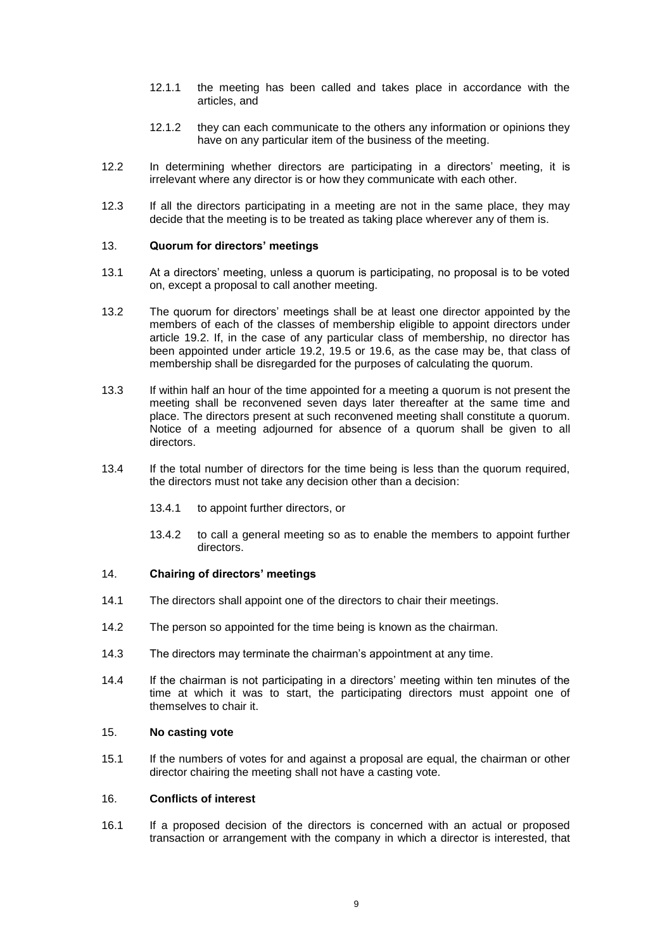- 12.1.1 the meeting has been called and takes place in accordance with the articles, and
- 12.1.2 they can each communicate to the others any information or opinions they have on any particular item of the business of the meeting.
- 12.2 In determining whether directors are participating in a directors' meeting, it is irrelevant where any director is or how they communicate with each other.
- 12.3 If all the directors participating in a meeting are not in the same place, they may decide that the meeting is to be treated as taking place wherever any of them is.

## 13. **Quorum for directors' meetings**

- 13.1 At a directors' meeting, unless a quorum is participating, no proposal is to be voted on, except a proposal to call another meeting.
- 13.2 The quorum for directors' meetings shall be at least one director appointed by the members of each of the classes of membership eligible to appoint directors under article [19.2.](#page-10-0) If, in the case of any particular class of membership, no director has been appointed under article [19.2,](#page-10-0) [19.5](#page-10-1) or [19.6,](#page-11-0) as the case may be, that class of membership shall be disregarded for the purposes of calculating the quorum.
- 13.3 If within half an hour of the time appointed for a meeting a quorum is not present the meeting shall be reconvened seven days later thereafter at the same time and place. The directors present at such reconvened meeting shall constitute a quorum. Notice of a meeting adjourned for absence of a quorum shall be given to all directors.
- 13.4 If the total number of directors for the time being is less than the quorum required, the directors must not take any decision other than a decision:
	- 13.4.1 to appoint further directors, or
	- 13.4.2 to call a general meeting so as to enable the members to appoint further directors.

### 14. **Chairing of directors' meetings**

- 14.1 The directors shall appoint one of the directors to chair their meetings.
- 14.2 The person so appointed for the time being is known as the chairman.
- 14.3 The directors may terminate the chairman's appointment at any time.
- 14.4 If the chairman is not participating in a directors' meeting within ten minutes of the time at which it was to start, the participating directors must appoint one of themselves to chair it.

#### 15. **No casting vote**

15.1 If the numbers of votes for and against a proposal are equal, the chairman or other director chairing the meeting shall not have a casting vote.

### <span id="page-8-0"></span>16. **Conflicts of interest**

16.1 If a proposed decision of the directors is concerned with an actual or proposed transaction or arrangement with the company in which a director is interested, that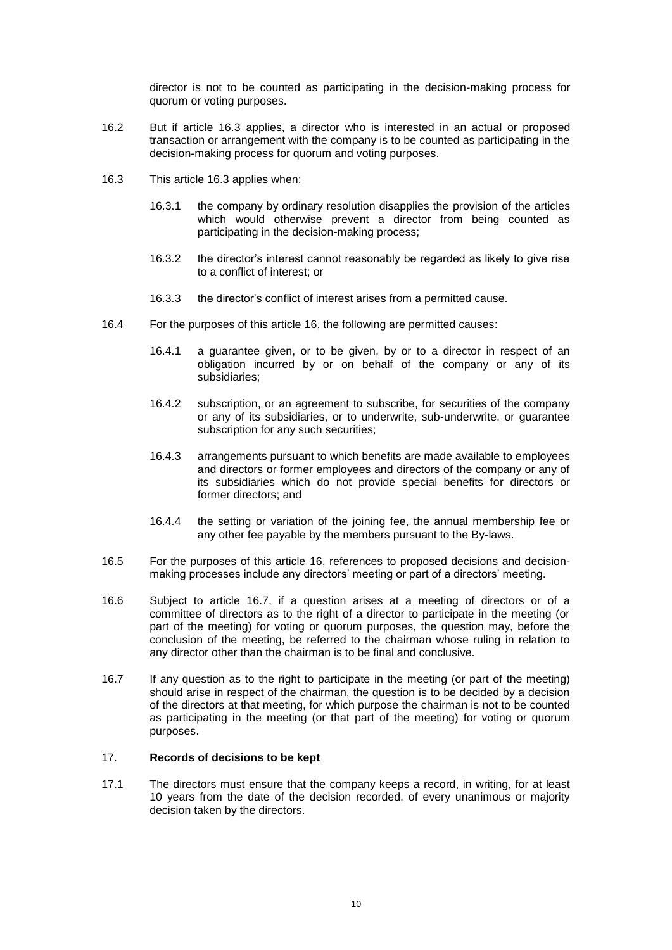director is not to be counted as participating in the decision-making process for quorum or voting purposes.

- 16.2 But if article [16.3](#page-9-0) applies, a director who is interested in an actual or proposed transaction or arrangement with the company is to be counted as participating in the decision-making process for quorum and voting purposes.
- <span id="page-9-0"></span>16.3 This article [16.3](#page-9-0) applies when:
	- 16.3.1 the company by ordinary resolution disapplies the provision of the articles which would otherwise prevent a director from being counted as participating in the decision-making process;
	- 16.3.2 the director's interest cannot reasonably be regarded as likely to give rise to a conflict of interest; or
	- 16.3.3 the director's conflict of interest arises from a permitted cause.
- 16.4 For the purposes of this article [16,](#page-8-0) the following are permitted causes:
	- 16.4.1 a guarantee given, or to be given, by or to a director in respect of an obligation incurred by or on behalf of the company or any of its subsidiaries;
	- 16.4.2 subscription, or an agreement to subscribe, for securities of the company or any of its subsidiaries, or to underwrite, sub-underwrite, or guarantee subscription for any such securities;
	- 16.4.3 arrangements pursuant to which benefits are made available to employees and directors or former employees and directors of the company or any of its subsidiaries which do not provide special benefits for directors or former directors; and
	- 16.4.4 the setting or variation of the joining fee, the annual membership fee or any other fee payable by the members pursuant to the By-laws.
- 16.5 For the purposes of this article [16,](#page-8-0) references to proposed decisions and decisionmaking processes include any directors' meeting or part of a directors' meeting.
- 16.6 Subject to article [16.7,](#page-9-1) if a question arises at a meeting of directors or of a committee of directors as to the right of a director to participate in the meeting (or part of the meeting) for voting or quorum purposes, the question may, before the conclusion of the meeting, be referred to the chairman whose ruling in relation to any director other than the chairman is to be final and conclusive.
- <span id="page-9-1"></span>16.7 If any question as to the right to participate in the meeting (or part of the meeting) should arise in respect of the chairman, the question is to be decided by a decision of the directors at that meeting, for which purpose the chairman is not to be counted as participating in the meeting (or that part of the meeting) for voting or quorum purposes.

#### 17. **Records of decisions to be kept**

17.1 The directors must ensure that the company keeps a record, in writing, for at least 10 years from the date of the decision recorded, of every unanimous or majority decision taken by the directors.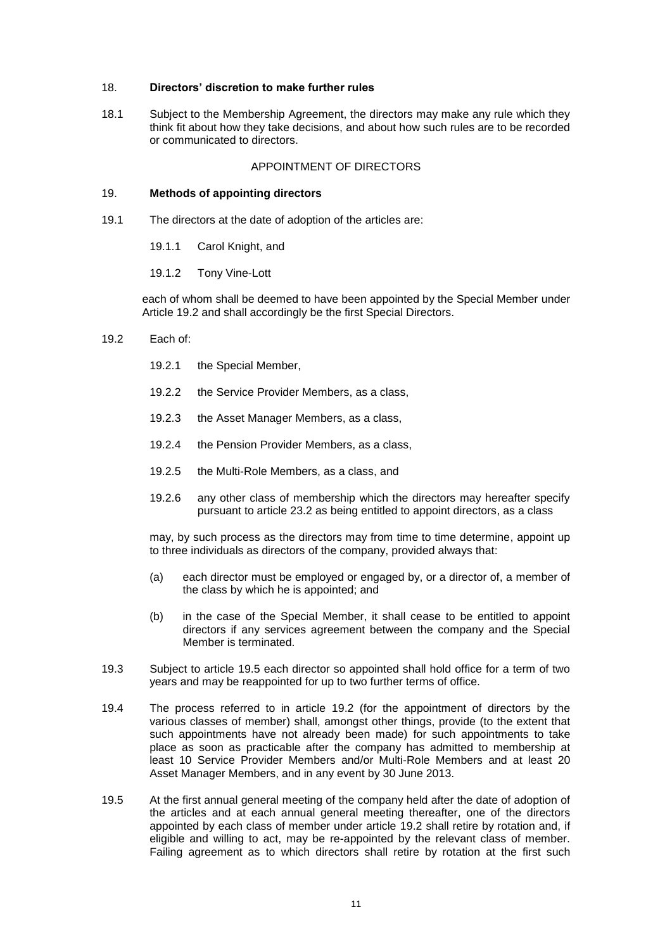## 18. **Directors' discretion to make further rules**

18.1 Subject to the Membership Agreement, the directors may make any rule which they think fit about how they take decisions, and about how such rules are to be recorded or communicated to directors.

## APPOINTMENT OF DIRECTORS

### 19. **Methods of appointing directors**

- 19.1 The directors at the date of adoption of the articles are:
	- 19.1.1 Carol Knight, and

### 19.1.2 Tony Vine-Lott

each of whom shall be deemed to have been appointed by the Special Member under Article [19.2](#page-10-0) and shall accordingly be the first Special Directors.

- <span id="page-10-0"></span>19.2 Each of:
	- 19.2.1 the Special Member,
	- 19.2.2 the Service Provider Members, as a class,
	- 19.2.3 the Asset Manager Members, as a class,
	- 19.2.4 the Pension Provider Members, as a class,
	- 19.2.5 the Multi-Role Members, as a class, and
	- 19.2.6 any other class of membership which the directors may hereafter specify pursuant to article [23.2](#page-13-0) as being entitled to appoint directors, as a class

may, by such process as the directors may from time to time determine, appoint up to three individuals as directors of the company, provided always that:

- (a) each director must be employed or engaged by, or a director of, a member of the class by which he is appointed; and
- (b) in the case of the Special Member, it shall cease to be entitled to appoint directors if any services agreement between the company and the Special Member is terminated.
- 19.3 Subject to article [19.5](#page-10-1) each director so appointed shall hold office for a term of two years and may be reappointed for up to two further terms of office.
- 19.4 The process referred to in article [19.2](#page-10-0) (for the appointment of directors by the various classes of member) shall, amongst other things, provide (to the extent that such appointments have not already been made) for such appointments to take place as soon as practicable after the company has admitted to membership at least 10 Service Provider Members and/or Multi-Role Members and at least 20 Asset Manager Members, and in any event by 30 June 2013.
- <span id="page-10-1"></span>19.5 At the first annual general meeting of the company held after the date of adoption of the articles and at each annual general meeting thereafter, one of the directors appointed by each class of member under article [19.2](#page-10-0) shall retire by rotation and, if eligible and willing to act, may be re-appointed by the relevant class of member. Failing agreement as to which directors shall retire by rotation at the first such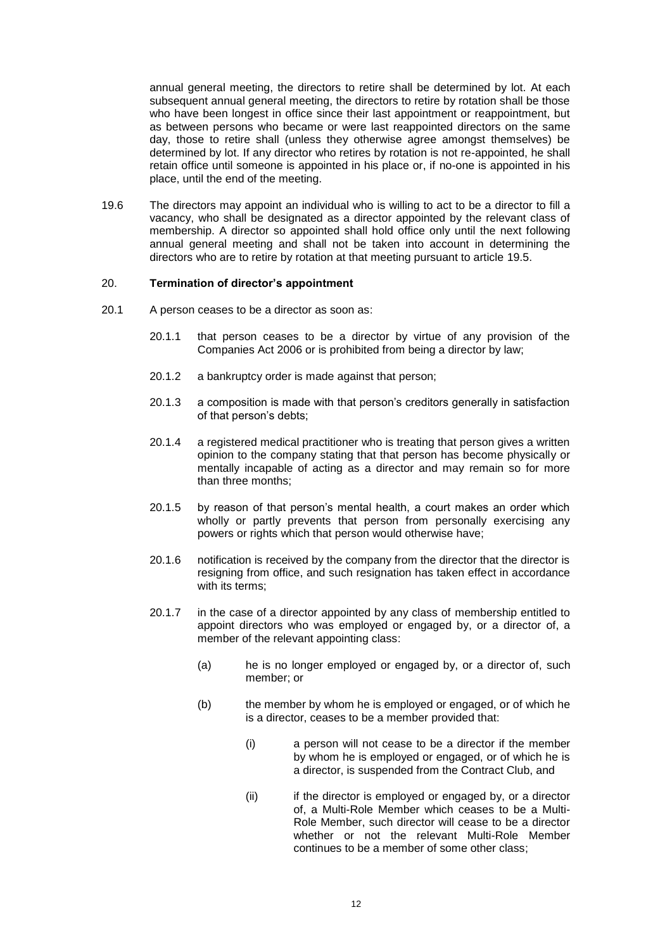annual general meeting, the directors to retire shall be determined by lot. At each subsequent annual general meeting, the directors to retire by rotation shall be those who have been longest in office since their last appointment or reappointment, but as between persons who became or were last reappointed directors on the same day, those to retire shall (unless they otherwise agree amongst themselves) be determined by lot. If any director who retires by rotation is not re-appointed, he shall retain office until someone is appointed in his place or, if no-one is appointed in his place, until the end of the meeting.

<span id="page-11-0"></span>19.6 The directors may appoint an individual who is willing to act to be a director to fill a vacancy, who shall be designated as a director appointed by the relevant class of membership. A director so appointed shall hold office only until the next following annual general meeting and shall not be taken into account in determining the directors who are to retire by rotation at that meeting pursuant to article [19.5.](#page-10-1)

### 20. **Termination of director's appointment**

- 20.1 A person ceases to be a director as soon as:
	- 20.1.1 that person ceases to be a director by virtue of any provision of the Companies Act 2006 or is prohibited from being a director by law;
	- 20.1.2 a bankruptcy order is made against that person;
	- 20.1.3 a composition is made with that person's creditors generally in satisfaction of that person's debts;
	- 20.1.4 a registered medical practitioner who is treating that person gives a written opinion to the company stating that that person has become physically or mentally incapable of acting as a director and may remain so for more than three months;
	- 20.1.5 by reason of that person's mental health, a court makes an order which wholly or partly prevents that person from personally exercising any powers or rights which that person would otherwise have;
	- 20.1.6 notification is received by the company from the director that the director is resigning from office, and such resignation has taken effect in accordance with its terms:
	- 20.1.7 in the case of a director appointed by any class of membership entitled to appoint directors who was employed or engaged by, or a director of, a member of the relevant appointing class:
		- (a) he is no longer employed or engaged by, or a director of, such member; or
		- (b) the member by whom he is employed or engaged, or of which he is a director, ceases to be a member provided that:
			- (i) a person will not cease to be a director if the member by whom he is employed or engaged, or of which he is a director, is suspended from the Contract Club, and
			- (ii) if the director is employed or engaged by, or a director of, a Multi-Role Member which ceases to be a Multi-Role Member, such director will cease to be a director whether or not the relevant Multi-Role Member continues to be a member of some other class;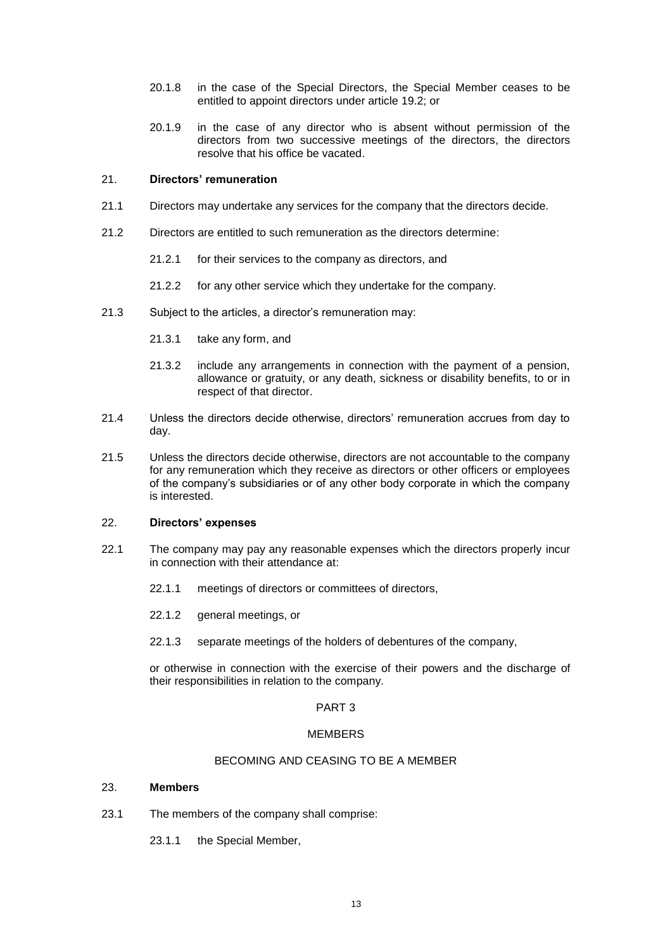- 20.1.8 in the case of the Special Directors, the Special Member ceases to be entitled to appoint directors under article [19.2;](#page-10-0) or
- 20.1.9 in the case of any director who is absent without permission of the directors from two successive meetings of the directors, the directors resolve that his office be vacated.

### 21. **Directors' remuneration**

- 21.1 Directors may undertake any services for the company that the directors decide.
- 21.2 Directors are entitled to such remuneration as the directors determine:
	- 21.2.1 for their services to the company as directors, and
	- 21.2.2 for any other service which they undertake for the company.
- 21.3 Subject to the articles, a director's remuneration may:
	- 21.3.1 take any form, and
	- 21.3.2 include any arrangements in connection with the payment of a pension, allowance or gratuity, or any death, sickness or disability benefits, to or in respect of that director.
- 21.4 Unless the directors decide otherwise, directors' remuneration accrues from day to day.
- 21.5 Unless the directors decide otherwise, directors are not accountable to the company for any remuneration which they receive as directors or other officers or employees of the company's subsidiaries or of any other body corporate in which the company is interested.

### 22. **Directors' expenses**

- 22.1 The company may pay any reasonable expenses which the directors properly incur in connection with their attendance at:
	- 22.1.1 meetings of directors or committees of directors,
	- 22.1.2 general meetings, or
	- 22.1.3 separate meetings of the holders of debentures of the company,

or otherwise in connection with the exercise of their powers and the discharge of their responsibilities in relation to the company.

### PART 3

### MEMBERS

## BECOMING AND CEASING TO BE A MEMBER

### 23. **Members**

- 23.1 The members of the company shall comprise:
	- 23.1.1 the Special Member,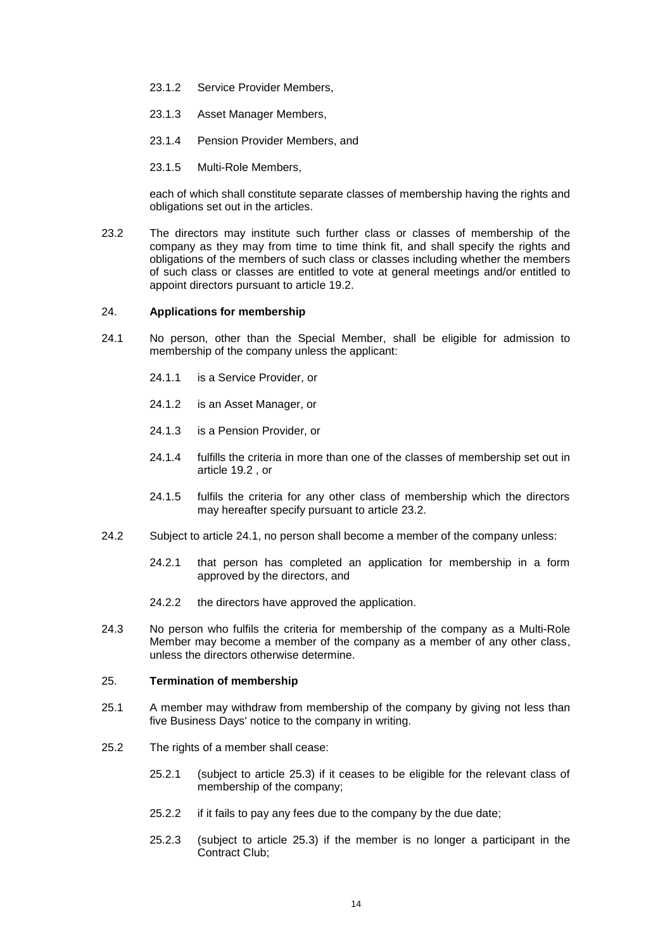- 23.1.2 Service Provider Members,
- 23.1.3 Asset Manager Members,
- 23.1.4 Pension Provider Members, and
- 23.1.5 Multi-Role Members,

each of which shall constitute separate classes of membership having the rights and obligations set out in the articles.

<span id="page-13-0"></span>23.2 The directors may institute such further class or classes of membership of the company as they may from time to time think fit, and shall specify the rights and obligations of the members of such class or classes including whether the members of such class or classes are entitled to vote at general meetings and/or entitled to appoint directors pursuant to article [19.2.](#page-10-0)

#### 24. **Applications for membership**

- <span id="page-13-1"></span>24.1 No person, other than the Special Member, shall be eligible for admission to membership of the company unless the applicant:
	- 24.1.1 is a Service Provider, or
	- 24.1.2 is an Asset Manager, or
	- 24.1.3 is a Pension Provider, or
	- 24.1.4 fulfills the criteria in more than one of the classes of membership set out in article 19.2 , or
	- 24.1.5 fulfils the criteria for any other class of membership which the directors may hereafter specify pursuant to article [23.2.](#page-13-0)
- 24.2 Subject to article [24.1,](#page-13-1) no person shall become a member of the company unless:
	- 24.2.1 that person has completed an application for membership in a form approved by the directors, and
	- 24.2.2 the directors have approved the application.
- 24.3 No person who fulfils the criteria for membership of the company as a Multi-Role Member may become a member of the company as a member of any other class, unless the directors otherwise determine.

#### 25. **Termination of membership**

- 25.1 A member may withdraw from membership of the company by giving not less than five Business Days' notice to the company in writing.
- <span id="page-13-3"></span><span id="page-13-2"></span>25.2 The rights of a member shall cease:
	- 25.2.1 (subject to article [25.3\)](#page-14-0) if it ceases to be eligible for the relevant class of membership of the company;
	- 25.2.2 if it fails to pay any fees due to the company by the due date;
	- 25.2.3 (subject to article [25.3\)](#page-14-0) if the member is no longer a participant in the Contract Club;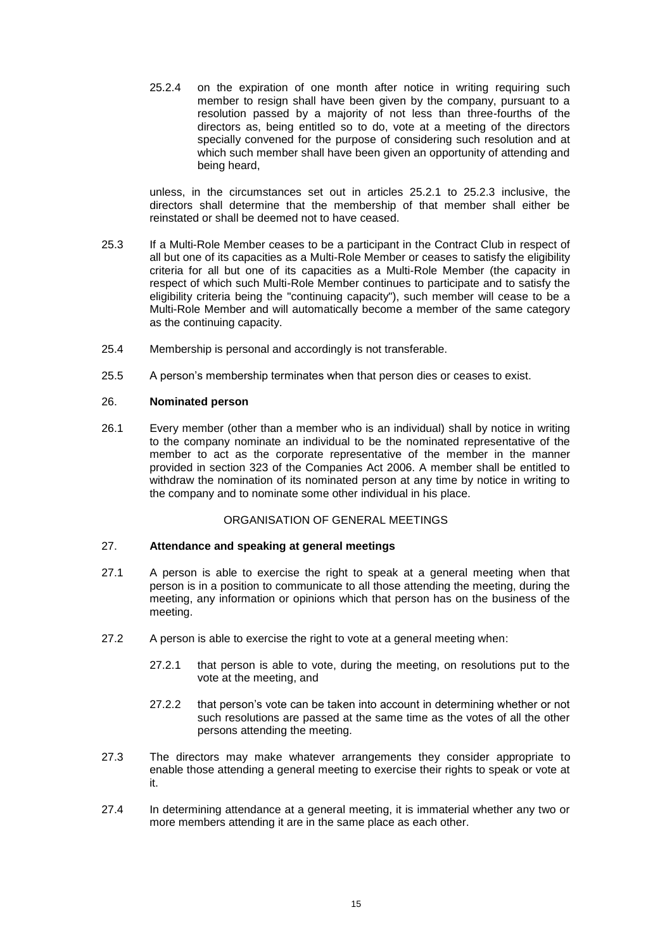25.2.4 on the expiration of one month after notice in writing requiring such member to resign shall have been given by the company, pursuant to a resolution passed by a majority of not less than three-fourths of the directors as, being entitled so to do, vote at a meeting of the directors specially convened for the purpose of considering such resolution and at which such member shall have been given an opportunity of attending and being heard,

unless, in the circumstances set out in articles [25.2.1](#page-13-2) to [25.2.3](#page-13-3) inclusive, the directors shall determine that the membership of that member shall either be reinstated or shall be deemed not to have ceased.

- <span id="page-14-0"></span>25.3 If a Multi-Role Member ceases to be a participant in the Contract Club in respect of all but one of its capacities as a Multi-Role Member or ceases to satisfy the eligibility criteria for all but one of its capacities as a Multi-Role Member (the capacity in respect of which such Multi-Role Member continues to participate and to satisfy the eligibility criteria being the "continuing capacity"), such member will cease to be a Multi-Role Member and will automatically become a member of the same category as the continuing capacity.
- 25.4 Membership is personal and accordingly is not transferable.
- 25.5 A person's membership terminates when that person dies or ceases to exist.

## 26. **Nominated person**

26.1 Every member (other than a member who is an individual) shall by notice in writing to the company nominate an individual to be the nominated representative of the member to act as the corporate representative of the member in the manner provided in section 323 of the Companies Act 2006. A member shall be entitled to withdraw the nomination of its nominated person at any time by notice in writing to the company and to nominate some other individual in his place.

### ORGANISATION OF GENERAL MEETINGS

### 27. **Attendance and speaking at general meetings**

- 27.1 A person is able to exercise the right to speak at a general meeting when that person is in a position to communicate to all those attending the meeting, during the meeting, any information or opinions which that person has on the business of the meeting.
- 27.2 A person is able to exercise the right to vote at a general meeting when:
	- 27.2.1 that person is able to vote, during the meeting, on resolutions put to the vote at the meeting, and
	- 27.2.2 that person's vote can be taken into account in determining whether or not such resolutions are passed at the same time as the votes of all the other persons attending the meeting.
- 27.3 The directors may make whatever arrangements they consider appropriate to enable those attending a general meeting to exercise their rights to speak or vote at it.
- 27.4 In determining attendance at a general meeting, it is immaterial whether any two or more members attending it are in the same place as each other.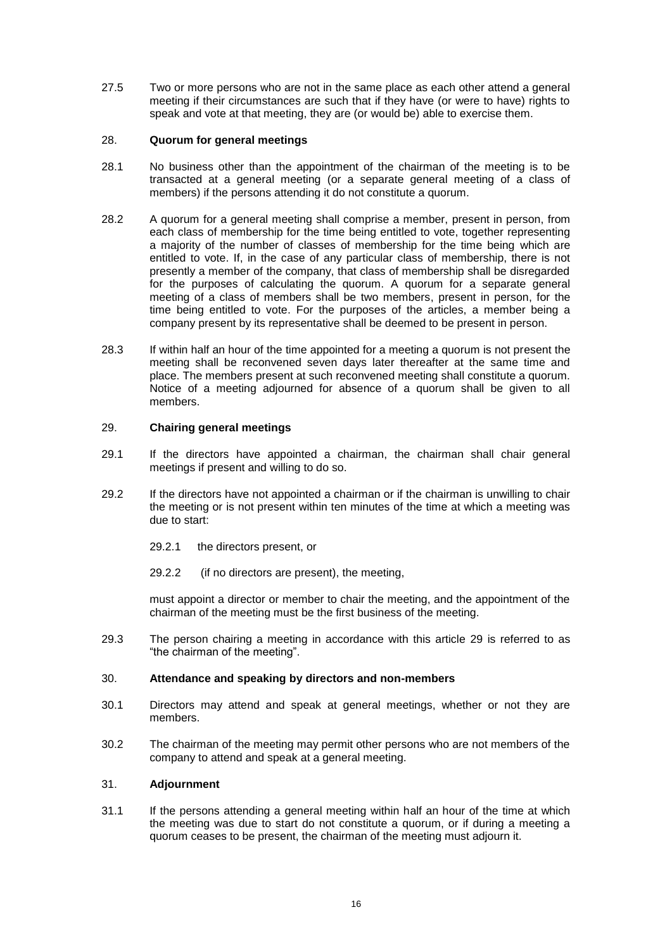27.5 Two or more persons who are not in the same place as each other attend a general meeting if their circumstances are such that if they have (or were to have) rights to speak and vote at that meeting, they are (or would be) able to exercise them.

### 28. **Quorum for general meetings**

- 28.1 No business other than the appointment of the chairman of the meeting is to be transacted at a general meeting (or a separate general meeting of a class of members) if the persons attending it do not constitute a quorum.
- 28.2 A quorum for a general meeting shall comprise a member, present in person, from each class of membership for the time being entitled to vote, together representing a majority of the number of classes of membership for the time being which are entitled to vote. If, in the case of any particular class of membership, there is not presently a member of the company, that class of membership shall be disregarded for the purposes of calculating the quorum. A quorum for a separate general meeting of a class of members shall be two members, present in person, for the time being entitled to vote. For the purposes of the articles, a member being a company present by its representative shall be deemed to be present in person.
- <span id="page-15-1"></span>28.3 If within half an hour of the time appointed for a meeting a quorum is not present the meeting shall be reconvened seven days later thereafter at the same time and place. The members present at such reconvened meeting shall constitute a quorum. Notice of a meeting adjourned for absence of a quorum shall be given to all members.

## <span id="page-15-0"></span>29. **Chairing general meetings**

- 29.1 If the directors have appointed a chairman, the chairman shall chair general meetings if present and willing to do so.
- 29.2 If the directors have not appointed a chairman or if the chairman is unwilling to chair the meeting or is not present within ten minutes of the time at which a meeting was due to start:
	- 29.2.1 the directors present, or
	- 29.2.2 (if no directors are present), the meeting,

must appoint a director or member to chair the meeting, and the appointment of the chairman of the meeting must be the first business of the meeting.

29.3 The person chairing a meeting in accordance with this article [29](#page-15-0) is referred to as "the chairman of the meeting".

### 30. **Attendance and speaking by directors and non-members**

- 30.1 Directors may attend and speak at general meetings, whether or not they are members.
- 30.2 The chairman of the meeting may permit other persons who are not members of the company to attend and speak at a general meeting.

## 31. **Adjournment**

31.1 If the persons attending a general meeting within half an hour of the time at which the meeting was due to start do not constitute a quorum, or if during a meeting a quorum ceases to be present, the chairman of the meeting must adjourn it.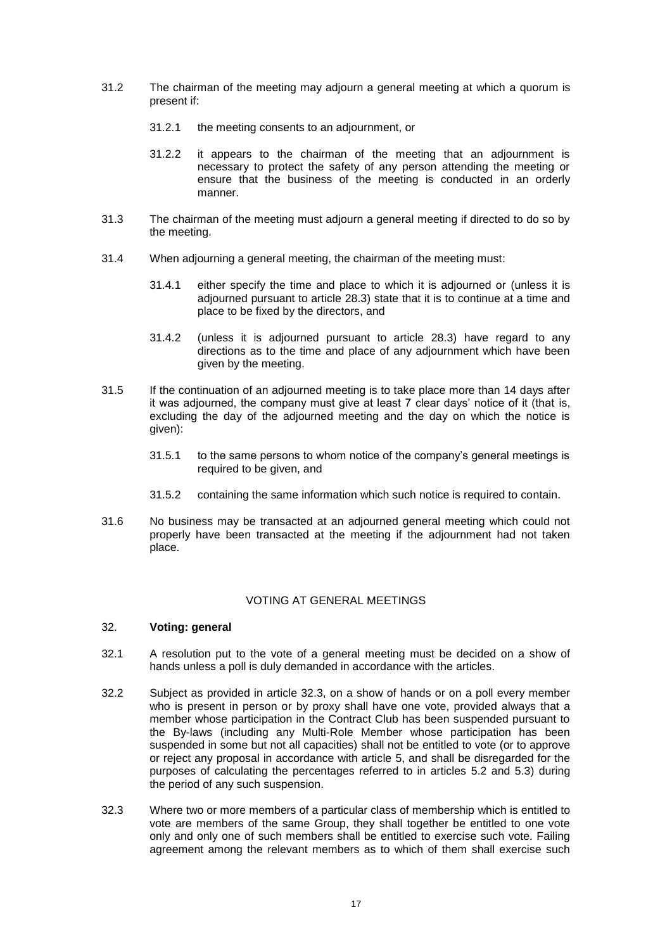- 31.2 The chairman of the meeting may adjourn a general meeting at which a quorum is present if:
	- 31.2.1 the meeting consents to an adjournment, or
	- 31.2.2 it appears to the chairman of the meeting that an adjournment is necessary to protect the safety of any person attending the meeting or ensure that the business of the meeting is conducted in an orderly manner.
- 31.3 The chairman of the meeting must adjourn a general meeting if directed to do so by the meeting.
- 31.4 When adjourning a general meeting, the chairman of the meeting must:
	- 31.4.1 either specify the time and place to which it is adjourned or (unless it is adjourned pursuant to article [28.3\)](#page-15-1) state that it is to continue at a time and place to be fixed by the directors, and
	- 31.4.2 (unless it is adjourned pursuant to article [28.3\)](#page-15-1) have regard to any directions as to the time and place of any adjournment which have been given by the meeting.
- 31.5 If the continuation of an adjourned meeting is to take place more than 14 days after it was adjourned, the company must give at least 7 clear days' notice of it (that is, excluding the day of the adjourned meeting and the day on which the notice is given):
	- 31.5.1 to the same persons to whom notice of the company's general meetings is required to be given, and
	- 31.5.2 containing the same information which such notice is required to contain.
- 31.6 No business may be transacted at an adjourned general meeting which could not properly have been transacted at the meeting if the adjournment had not taken place.

## VOTING AT GENERAL MEETINGS

### 32. **Voting: general**

- 32.1 A resolution put to the vote of a general meeting must be decided on a show of hands unless a poll is duly demanded in accordance with the articles.
- 32.2 Subject as provided in article [32.3,](#page-16-0) on a show of hands or on a poll every member who is present in person or by proxy shall have one vote, provided always that a member whose participation in the Contract Club has been suspended pursuant to the By-laws (including any Multi-Role Member whose participation has been suspended in some but not all capacities) shall not be entitled to vote (or to approve or reject any proposal in accordance with article [5,](#page-4-3) and shall be disregarded for the purposes of calculating the percentages referred to in articles [5.2](#page-5-2) and [5.3\)](#page-5-1) during the period of any such suspension.
- <span id="page-16-0"></span>32.3 Where two or more members of a particular class of membership which is entitled to vote are members of the same Group, they shall together be entitled to one vote only and only one of such members shall be entitled to exercise such vote. Failing agreement among the relevant members as to which of them shall exercise such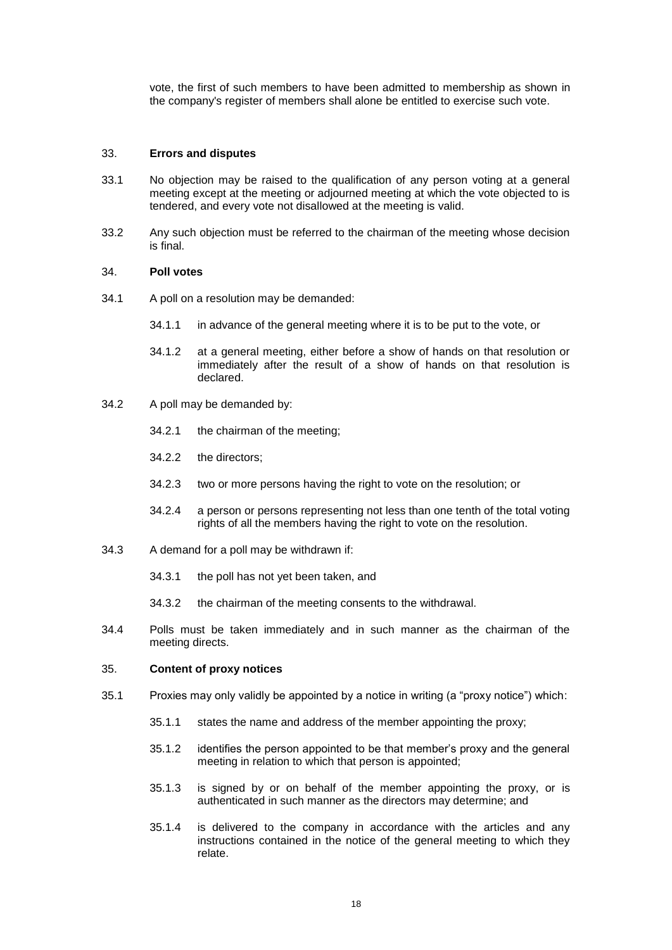vote, the first of such members to have been admitted to membership as shown in the company's register of members shall alone be entitled to exercise such vote.

### 33. **Errors and disputes**

- 33.1 No objection may be raised to the qualification of any person voting at a general meeting except at the meeting or adjourned meeting at which the vote objected to is tendered, and every vote not disallowed at the meeting is valid.
- 33.2 Any such objection must be referred to the chairman of the meeting whose decision is final.

#### 34. **Poll votes**

- 34.1 A poll on a resolution may be demanded:
	- 34.1.1 in advance of the general meeting where it is to be put to the vote, or
	- 34.1.2 at a general meeting, either before a show of hands on that resolution or immediately after the result of a show of hands on that resolution is declared.
- 34.2 A poll may be demanded by:
	- 34.2.1 the chairman of the meeting;
	- 34.2.2 the directors;
	- 34.2.3 two or more persons having the right to vote on the resolution; or
	- 34.2.4 a person or persons representing not less than one tenth of the total voting rights of all the members having the right to vote on the resolution.
- 34.3 A demand for a poll may be withdrawn if:
	- 34.3.1 the poll has not yet been taken, and
	- 34.3.2 the chairman of the meeting consents to the withdrawal.
- 34.4 Polls must be taken immediately and in such manner as the chairman of the meeting directs.

### <span id="page-17-0"></span>35. **Content of proxy notices**

- 35.1 Proxies may only validly be appointed by a notice in writing (a "proxy notice") which:
	- 35.1.1 states the name and address of the member appointing the proxy;
	- 35.1.2 identifies the person appointed to be that member's proxy and the general meeting in relation to which that person is appointed;
	- 35.1.3 is signed by or on behalf of the member appointing the proxy, or is authenticated in such manner as the directors may determine; and
	- 35.1.4 is delivered to the company in accordance with the articles and any instructions contained in the notice of the general meeting to which they relate.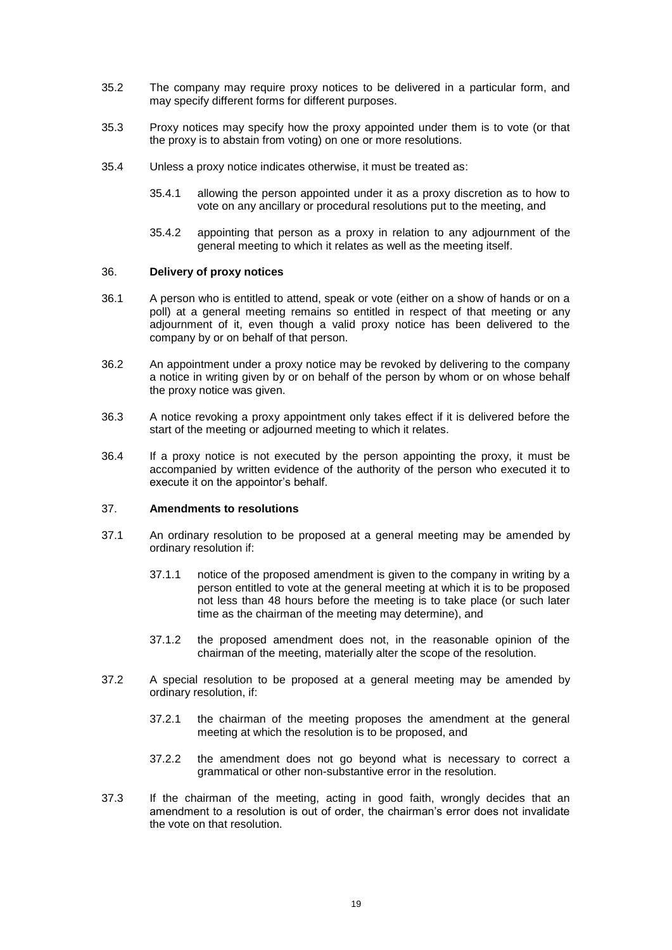- 35.2 The company may require proxy notices to be delivered in a particular form, and may specify different forms for different purposes.
- 35.3 Proxy notices may specify how the proxy appointed under them is to vote (or that the proxy is to abstain from voting) on one or more resolutions.
- 35.4 Unless a proxy notice indicates otherwise, it must be treated as:
	- 35.4.1 allowing the person appointed under it as a proxy discretion as to how to vote on any ancillary or procedural resolutions put to the meeting, and
	- 35.4.2 appointing that person as a proxy in relation to any adjournment of the general meeting to which it relates as well as the meeting itself.

#### 36. **Delivery of proxy notices**

- 36.1 A person who is entitled to attend, speak or vote (either on a show of hands or on a poll) at a general meeting remains so entitled in respect of that meeting or any adjournment of it, even though a valid proxy notice has been delivered to the company by or on behalf of that person.
- 36.2 An appointment under a proxy notice may be revoked by delivering to the company a notice in writing given by or on behalf of the person by whom or on whose behalf the proxy notice was given.
- 36.3 A notice revoking a proxy appointment only takes effect if it is delivered before the start of the meeting or adjourned meeting to which it relates.
- 36.4 If a proxy notice is not executed by the person appointing the proxy, it must be accompanied by written evidence of the authority of the person who executed it to execute it on the appointor's behalf.

#### 37. **Amendments to resolutions**

- 37.1 An ordinary resolution to be proposed at a general meeting may be amended by ordinary resolution if:
	- 37.1.1 notice of the proposed amendment is given to the company in writing by a person entitled to vote at the general meeting at which it is to be proposed not less than 48 hours before the meeting is to take place (or such later time as the chairman of the meeting may determine), and
	- 37.1.2 the proposed amendment does not, in the reasonable opinion of the chairman of the meeting, materially alter the scope of the resolution.
- 37.2 A special resolution to be proposed at a general meeting may be amended by ordinary resolution, if:
	- 37.2.1 the chairman of the meeting proposes the amendment at the general meeting at which the resolution is to be proposed, and
	- 37.2.2 the amendment does not go beyond what is necessary to correct a grammatical or other non-substantive error in the resolution.
- 37.3 If the chairman of the meeting, acting in good faith, wrongly decides that an amendment to a resolution is out of order, the chairman's error does not invalidate the vote on that resolution.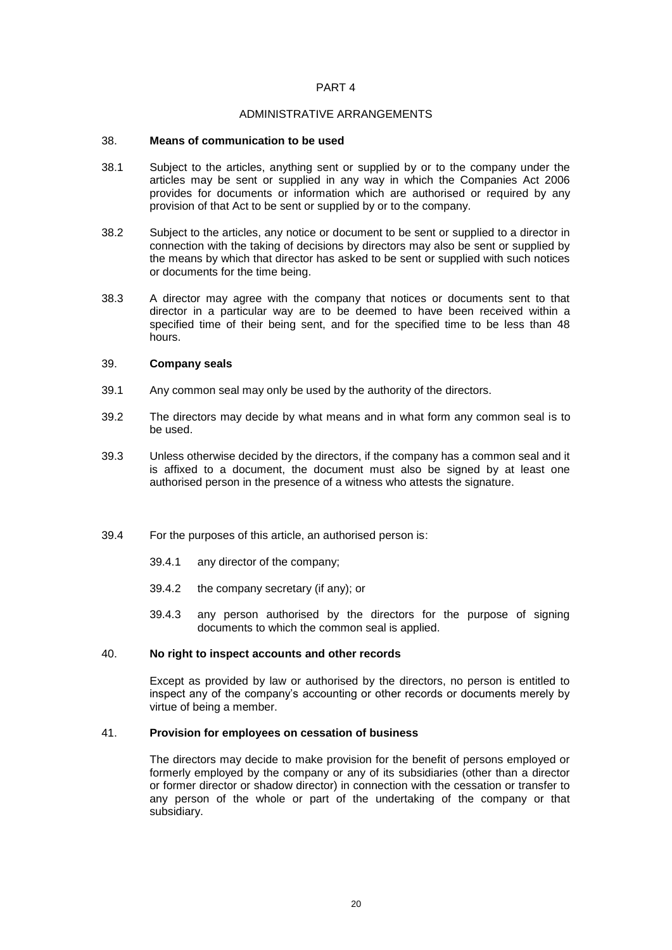### PART 4

#### ADMINISTRATIVE ARRANGEMENTS

#### 38. **Means of communication to be used**

- 38.1 Subject to the articles, anything sent or supplied by or to the company under the articles may be sent or supplied in any way in which the Companies Act 2006 provides for documents or information which are authorised or required by any provision of that Act to be sent or supplied by or to the company.
- 38.2 Subject to the articles, any notice or document to be sent or supplied to a director in connection with the taking of decisions by directors may also be sent or supplied by the means by which that director has asked to be sent or supplied with such notices or documents for the time being.
- 38.3 A director may agree with the company that notices or documents sent to that director in a particular way are to be deemed to have been received within a specified time of their being sent, and for the specified time to be less than 48 hours.

### 39. **Company seals**

- 39.1 Any common seal may only be used by the authority of the directors.
- 39.2 The directors may decide by what means and in what form any common seal is to be used.
- 39.3 Unless otherwise decided by the directors, if the company has a common seal and it is affixed to a document, the document must also be signed by at least one authorised person in the presence of a witness who attests the signature.
- 39.4 For the purposes of this article, an authorised person is:
	- 39.4.1 any director of the company;
	- 39.4.2 the company secretary (if any); or
	- 39.4.3 any person authorised by the directors for the purpose of signing documents to which the common seal is applied.

## 40. **No right to inspect accounts and other records**

Except as provided by law or authorised by the directors, no person is entitled to inspect any of the company's accounting or other records or documents merely by virtue of being a member.

#### 41. **Provision for employees on cessation of business**

The directors may decide to make provision for the benefit of persons employed or formerly employed by the company or any of its subsidiaries (other than a director or former director or shadow director) in connection with the cessation or transfer to any person of the whole or part of the undertaking of the company or that subsidiary.